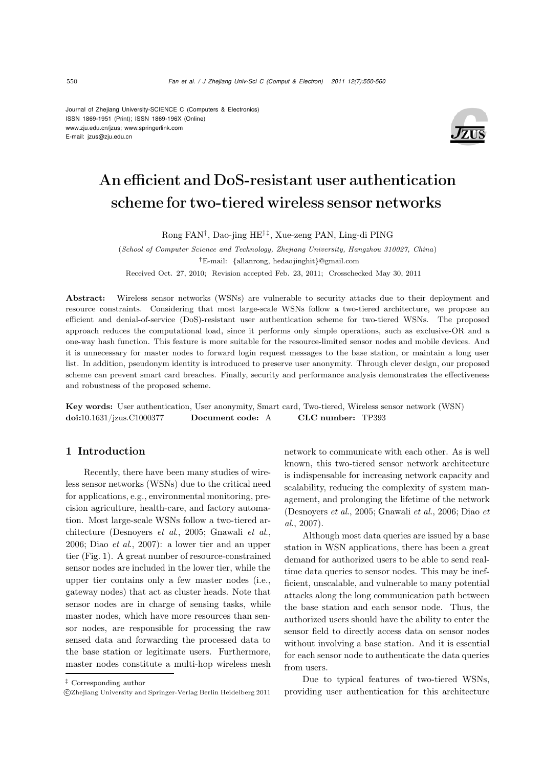Journal of Zhejiang University-SCIENCE C (Computers & Electronics) ISSN 1869-1951 (Print); ISSN 1869-196X (Online) www.zju.edu.cn/jzus; www.springerlink.com E-mail: jzus@zju.edu.cn



# An efficient and DoS-resistant user authentication scheme for two-tiered wireless sensor networks

Rong FAN†, Dao-jing HE†‡, Xue-zeng PAN, Ling-di PING

(*School of Computer Science and Technology, Zhejiang University, Hangzhou 310027, China*) *†*E-mail: {allanrong, hedaojinghit}@gmail.com Received Oct. 27, 2010; Revision accepted Feb. 23, 2011; Crosschecked May 30, 2011

Abstract: Wireless sensor networks (WSNs) are vulnerable to security attacks due to their deployment and resource constraints. Considering that most large-scale WSNs follow a two-tiered architecture, we propose an efficient and denial-of-service (DoS)-resistant user authentication scheme for two-tiered WSNs. The proposed approach reduces the computational load, since it performs only simple operations, such as exclusive-OR and a one-way hash function. This feature is more suitable for the resource-limited sensor nodes and mobile devices. And it is unnecessary for master nodes to forward login request messages to the base station, or maintain a long user list. In addition, pseudonym identity is introduced to preserve user anonymity. Through clever design, our proposed scheme can prevent smart card breaches. Finally, security and performance analysis demonstrates the effectiveness and robustness of the proposed scheme.

Key words: User authentication, User anonymity, Smart card, Two-tiered, Wireless sensor network (WSN) doi:10.1631/jzus.C1000377 Document code: A CLC number: TP393

# 1 Introduction

Recently, there have been many studies of wireless sensor networks (WSNs) due to the critical need for applications, e.g., environmental monitoring, precision agriculture, health-care, and factory automation. Most large-scale WSNs follow a two-tiered architecture (Desnoyers *et al*., 2005; Gnawali *et al*., 2006; Diao *et al*., 2007): a lower tier and an upper tier (Fig. 1). A great number of resource-constrained sensor nodes are included in the lower tier, while the upper tier contains only a few master nodes (i.e., gateway nodes) that act as cluster heads. Note that sensor nodes are in charge of sensing tasks, while master nodes, which have more resources than sensor nodes, are responsible for processing the raw sensed data and forwarding the processed data to the base station or legitimate users. Furthermore, master nodes constitute a multi-hop wireless mesh network to communicate with each other. As is well known, this two-tiered sensor network architecture is indispensable for increasing network capacity and scalability, reducing the complexity of system management, and prolonging the lifetime of the network (Desnoyers *et al*., 2005; Gnawali *et al*., 2006; Diao *et al*., 2007).

Although most data queries are issued by a base station in WSN applications, there has been a great demand for authorized users to be able to send realtime data queries to sensor nodes. This may be inefficient, unscalable, and vulnerable to many potential attacks along the long communication path between the base station and each sensor node. Thus, the authorized users should have the ability to enter the sensor field to directly access data on sensor nodes without involving a base station. And it is essential for each sensor node to authenticate the data queries from users.

Due to typical features of two-tiered WSNs, providing user authentication for this architecture

*<sup>‡</sup>* Corresponding author

<sup>-</sup>c Zhejiang University and Springer-Verlag Berlin Heidelberg 2011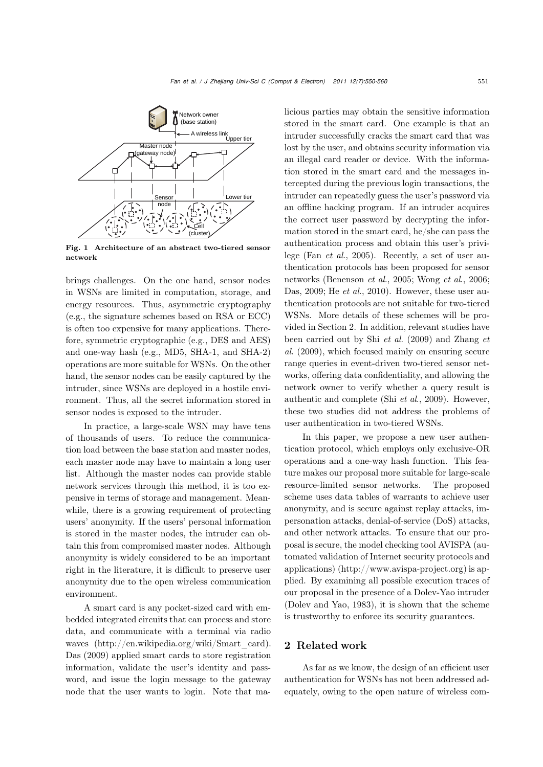

Fig. 1 Architecture of an abstract two-tiered sensor network

brings challenges. On the one hand, sensor nodes in WSNs are limited in computation, storage, and energy resources. Thus, asymmetric cryptography (e.g., the signature schemes based on RSA or ECC) is often too expensive for many applications. Therefore, symmetric cryptographic (e.g., DES and AES) and one-way hash (e.g., MD5, SHA-1, and SHA-2) operations are more suitable for WSNs. On the other hand, the sensor nodes can be easily captured by the intruder, since WSNs are deployed in a hostile environment. Thus, all the secret information stored in sensor nodes is exposed to the intruder.

In practice, a large-scale WSN may have tens of thousands of users. To reduce the communication load between the base station and master nodes, each master node may have to maintain a long user list. Although the master nodes can provide stable network services through this method, it is too expensive in terms of storage and management. Meanwhile, there is a growing requirement of protecting users' anonymity. If the users' personal information is stored in the master nodes, the intruder can obtain this from compromised master nodes. Although anonymity is widely considered to be an important right in the literature, it is difficult to preserve user anonymity due to the open wireless communication environment.

A smart card is any pocket-sized card with embedded integrated circuits that can process and store data, and communicate with a terminal via radio waves (http://en.wikipedia.org/wiki/Smart\_card). Das (2009) applied smart cards to store registration information, validate the user's identity and password, and issue the login message to the gateway node that the user wants to login. Note that malicious parties may obtain the sensitive information stored in the smart card. One example is that an intruder successfully cracks the smart card that was lost by the user, and obtains security information via an illegal card reader or device. With the information stored in the smart card and the messages intercepted during the previous login transactions, the intruder can repeatedly guess the user's password via an offline hacking program. If an intruder acquires the correct user password by decrypting the information stored in the smart card, he/she can pass the authentication process and obtain this user's privilege (Fan *et al*., 2005). Recently, a set of user authentication protocols has been proposed for sensor networks (Benenson *et al*., 2005; Wong *et al*., 2006; Das, 2009; He *et al*., 2010). However, these user authentication protocols are not suitable for two-tiered WSNs. More details of these schemes will be provided in Section 2. In addition, relevant studies have been carried out by Shi *et al*. (2009) and Zhang *et al*. (2009), which focused mainly on ensuring secure range queries in event-driven two-tiered sensor networks, offering data confidentiality, and allowing the network owner to verify whether a query result is authentic and complete (Shi *et al*., 2009). However, these two studies did not address the problems of user authentication in two-tiered WSNs.

In this paper, we propose a new user authentication protocol, which employs only exclusive-OR operations and a one-way hash function. This feature makes our proposal more suitable for large-scale resource-limited sensor networks. The proposed scheme uses data tables of warrants to achieve user anonymity, and is secure against replay attacks, impersonation attacks, denial-of-service (DoS) attacks, and other network attacks. To ensure that our proposal is secure, the model checking tool AVISPA (automated validation of Internet security protocols and applications) (http://www.avispa-project.org) is applied. By examining all possible execution traces of our proposal in the presence of a Dolev-Yao intruder (Dolev and Yao, 1983), it is shown that the scheme is trustworthy to enforce its security guarantees.

# 2 Related work

As far as we know, the design of an efficient user authentication for WSNs has not been addressed adequately, owing to the open nature of wireless com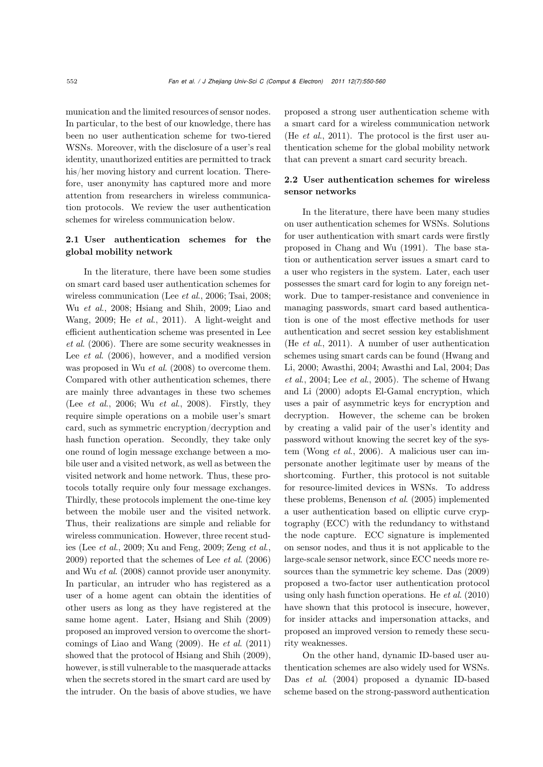munication and the limited resources of sensor nodes. In particular, to the best of our knowledge, there has been no user authentication scheme for two-tiered WSNs. Moreover, with the disclosure of a user's real identity, unauthorized entities are permitted to track his/her moving history and current location. Therefore, user anonymity has captured more and more attention from researchers in wireless communication protocols. We review the user authentication schemes for wireless communication below.

# 2.1 User authentication schemes for the global mobility network

In the literature, there have been some studies on smart card based user authentication schemes for wireless communication (Lee *et al*., 2006; Tsai, 2008; Wu *et al*., 2008; Hsiang and Shih, 2009; Liao and Wang, 2009; He *et al*., 2011). A light-weight and efficient authentication scheme was presented in Lee *et al*. (2006). There are some security weaknesses in Lee *et al*. (2006), however, and a modified version was proposed in Wu *et al*. (2008) to overcome them. Compared with other authentication schemes, there are mainly three advantages in these two schemes (Lee *et al*., 2006; Wu *et al*., 2008). Firstly, they require simple operations on a mobile user's smart card, such as symmetric encryption/decryption and hash function operation. Secondly, they take only one round of login message exchange between a mobile user and a visited network, as well as between the visited network and home network. Thus, these protocols totally require only four message exchanges. Thirdly, these protocols implement the one-time key between the mobile user and the visited network. Thus, their realizations are simple and reliable for wireless communication. However, three recent studies (Lee *et al*., 2009; Xu and Feng, 2009; Zeng *et al*., 2009) reported that the schemes of Lee *et al*. (2006) and Wu *et al*. (2008) cannot provide user anonymity. In particular, an intruder who has registered as a user of a home agent can obtain the identities of other users as long as they have registered at the same home agent. Later, Hsiang and Shih (2009) proposed an improved version to overcome the shortcomings of Liao and Wang (2009). He *et al*. (2011) showed that the protocol of Hsiang and Shih (2009), however, is still vulnerable to the masquerade attacks when the secrets stored in the smart card are used by the intruder. On the basis of above studies, we have

proposed a strong user authentication scheme with a smart card for a wireless communication network (He *et al*., 2011). The protocol is the first user authentication scheme for the global mobility network that can prevent a smart card security breach.

## 2.2 User authentication schemes for wireless sensor networks

In the literature, there have been many studies on user authentication schemes for WSNs. Solutions for user authentication with smart cards were firstly proposed in Chang and Wu (1991). The base station or authentication server issues a smart card to a user who registers in the system. Later, each user possesses the smart card for login to any foreign network. Due to tamper-resistance and convenience in managing passwords, smart card based authentication is one of the most effective methods for user authentication and secret session key establishment (He *et al*., 2011). A number of user authentication schemes using smart cards can be found (Hwang and Li, 2000; Awasthi, 2004; Awasthi and Lal, 2004; Das *et al*., 2004; Lee *et al*., 2005). The scheme of Hwang and Li (2000) adopts El-Gamal encryption, which uses a pair of asymmetric keys for encryption and decryption. However, the scheme can be broken by creating a valid pair of the user's identity and password without knowing the secret key of the system (Wong *et al*., 2006). A malicious user can impersonate another legitimate user by means of the shortcoming. Further, this protocol is not suitable for resource-limited devices in WSNs. To address these problems, Benenson *et al*. (2005) implemented a user authentication based on elliptic curve cryptography (ECC) with the redundancy to withstand the node capture. ECC signature is implemented on sensor nodes, and thus it is not applicable to the large-scale sensor network, since ECC needs more resources than the symmetric key scheme. Das (2009) proposed a two-factor user authentication protocol using only hash function operations. He *et al*. (2010) have shown that this protocol is insecure, however, for insider attacks and impersonation attacks, and proposed an improved version to remedy these security weaknesses.

On the other hand, dynamic ID-based user authentication schemes are also widely used for WSNs. Das *et al*. (2004) proposed a dynamic ID-based scheme based on the strong-password authentication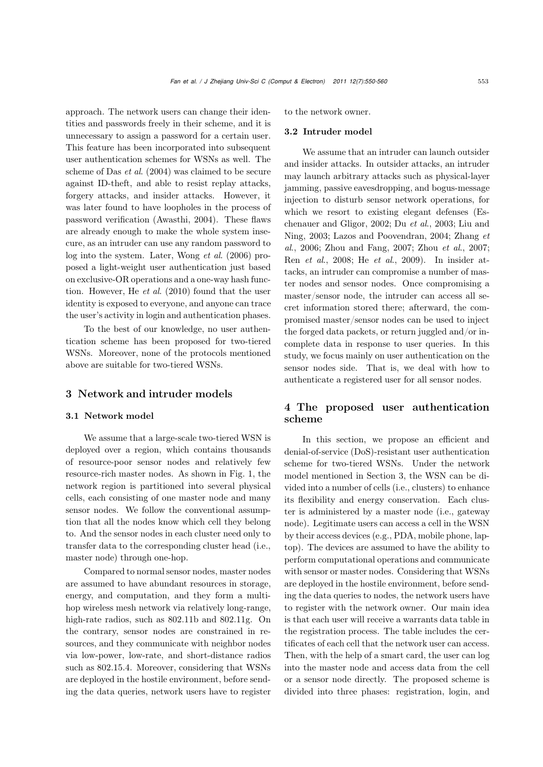approach. The network users can change their identities and passwords freely in their scheme, and it is unnecessary to assign a password for a certain user. This feature has been incorporated into subsequent user authentication schemes for WSNs as well. The scheme of Das *et al*. (2004) was claimed to be secure against ID-theft, and able to resist replay attacks, forgery attacks, and insider attacks. However, it was later found to have loopholes in the process of password verification (Awasthi, 2004). These flaws are already enough to make the whole system insecure, as an intruder can use any random password to log into the system. Later, Wong *et al*. (2006) proposed a light-weight user authentication just based on exclusive-OR operations and a one-way hash function. However, He *et al*. (2010) found that the user identity is exposed to everyone, and anyone can trace the user's activity in login and authentication phases.

To the best of our knowledge, no user authentication scheme has been proposed for two-tiered WSNs. Moreover, none of the protocols mentioned above are suitable for two-tiered WSNs.

# 3 Network and intruder models

## 3.1 Network model

We assume that a large-scale two-tiered WSN is deployed over a region, which contains thousands of resource-poor sensor nodes and relatively few resource-rich master nodes. As shown in Fig. 1, the network region is partitioned into several physical cells, each consisting of one master node and many sensor nodes. We follow the conventional assumption that all the nodes know which cell they belong to. And the sensor nodes in each cluster need only to transfer data to the corresponding cluster head (i.e., master node) through one-hop.

Compared to normal sensor nodes, master nodes are assumed to have abundant resources in storage, energy, and computation, and they form a multihop wireless mesh network via relatively long-range, high-rate radios, such as  $802.11b$  and  $802.11g$ . On the contrary, sensor nodes are constrained in resources, and they communicate with neighbor nodes via low-power, low-rate, and short-distance radios such as 802.15.4. Moreover, considering that WSNs are deployed in the hostile environment, before sending the data queries, network users have to register to the network owner.

# 3.2 Intruder model

We assume that an intruder can launch outsider and insider attacks. In outsider attacks, an intruder may launch arbitrary attacks such as physical-layer jamming, passive eavesdropping, and bogus-message injection to disturb sensor network operations, for which we resort to existing elegant defenses (Eschenauer and Gligor, 2002; Du *et al*., 2003; Liu and Ning, 2003; Lazos and Poovendran, 2004; Zhang *et al*., 2006; Zhou and Fang, 2007; Zhou *et al*., 2007; Ren *et al*., 2008; He *et al*., 2009). In insider attacks, an intruder can compromise a number of master nodes and sensor nodes. Once compromising a master/sensor node, the intruder can access all secret information stored there; afterward, the compromised master/sensor nodes can be used to inject the forged data packets, or return juggled and/or incomplete data in response to user queries. In this study, we focus mainly on user authentication on the sensor nodes side. That is, we deal with how to authenticate a registered user for all sensor nodes.

# 4 The proposed user authentication scheme

In this section, we propose an efficient and denial-of-service (DoS)-resistant user authentication scheme for two-tiered WSNs. Under the network model mentioned in Section 3, the WSN can be divided into a number of cells (i.e., clusters) to enhance its flexibility and energy conservation. Each cluster is administered by a master node (i.e., gateway node). Legitimate users can access a cell in the WSN by their access devices (e.g., PDA, mobile phone, laptop). The devices are assumed to have the ability to perform computational operations and communicate with sensor or master nodes. Considering that WSNs are deployed in the hostile environment, before sending the data queries to nodes, the network users have to register with the network owner. Our main idea is that each user will receive a warrants data table in the registration process. The table includes the certificates of each cell that the network user can access. Then, with the help of a smart card, the user can log into the master node and access data from the cell or a sensor node directly. The proposed scheme is divided into three phases: registration, login, and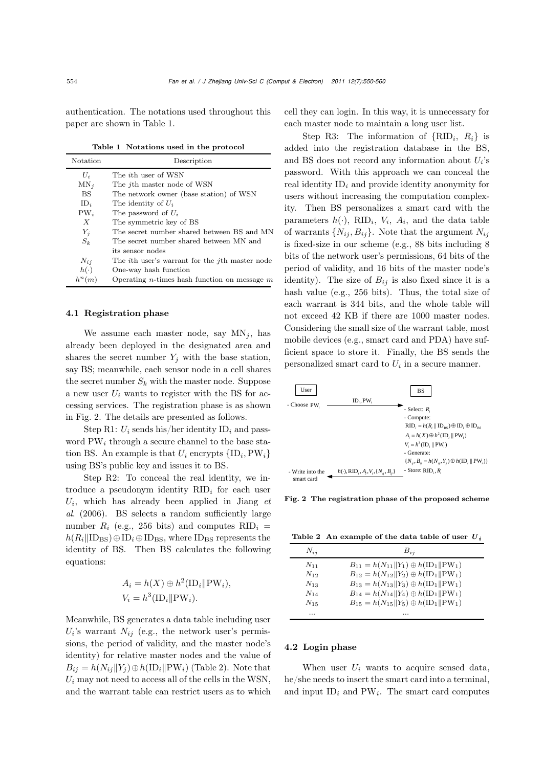authentication. The notations used throughout this paper are shown in Table 1.

Table 1 Notations used in the protocol

| Notation   | Description                                                    |
|------------|----------------------------------------------------------------|
| $U_i$      | The <i>i</i> th user of WSN                                    |
| $MN_i$     | The <i>i</i> th master node of WSN                             |
| BS         | The network owner (base station) of WSN                        |
| $ID_i$     | The identity of $U_i$                                          |
| $PW_i$     | The password of $U_i$                                          |
| X          | The symmetric key of BS                                        |
| $Y_i$      | The secret number shared between BS and MN                     |
| $S_k$      | The secret number shared between MN and                        |
|            | its sensor nodes                                               |
| $N_{ij}$   | The <i>i</i> th user's warrant for the <i>j</i> th master node |
| $h(\cdot)$ | One-way hash function                                          |
| $h^n(m)$   | Operating <i>n</i> -times hash function on message $m$         |

## 4.1 Registration phase

We assume each master node, say  $MN_j$ , has already been deployed in the designated area and shares the secret number  $Y_j$  with the base station, say BS; meanwhile, each sensor node in a cell shares the secret number  $S_k$  with the master node. Suppose a new user  $U_i$  wants to register with the BS for accessing services. The registration phase is as shown in Fig. 2. The details are presented as follows.

Step R1: U*<sup>i</sup>* sends his/her identity ID*<sup>i</sup>* and password PW*<sup>i</sup>* through a secure channel to the base station BS. An example is that  $U_i$  encrypts  $\{ID_i, PW_i\}$ using BS's public key and issues it to BS.

Step R2: To conceal the real identity, we introduce a pseudonym identity RID*<sup>i</sup>* for each user U*i*, which has already been applied in Jiang *et al*. (2006). BS selects a random sufficiently large number  $R_i$  (e.g., 256 bits) and computes  $RID_i$  =  $h(R_i \parallel ID_{\rm BS}) \oplus ID_i \oplus ID_{\rm BS}$ , where  $ID_{\rm BS}$  represents the identity of BS. Then BS calculates the following equations:

$$
A_i = h(X) \oplus h^2(\text{ID}_i || \text{PW}_i),
$$
  

$$
V_i = h^3(\text{ID}_i || \text{PW}_i).
$$

Meanwhile, BS generates a data table including user  $U_i$ 's warrant  $N_{ij}$  (e.g., the network user's permissions, the period of validity, and the master node's identity) for relative master nodes and the value of  $B_{ij} = h(N_{ij} || Y_j) \oplus h(\text{ID}_i || \text{PW}_i)$  (Table 2). Note that  $U_i$  may not need to access all of the cells in the WSN, and the warrant table can restrict users as to which cell they can login. In this way, it is unnecessary for each master node to maintain a long user list.

Step R3: The information of  $\{RID_i, R_i\}$  is added into the registration database in the BS, and BS does not record any information about  $U_i$ 's password. With this approach we can conceal the real identity ID*<sup>i</sup>* and provide identity anonymity for users without increasing the computation complexity. Then BS personalizes a smart card with the parameters  $h(\cdot)$ , RID<sub>i</sub>,  $V_i$ ,  $A_i$ , and the data table of warrants  $\{N_{ij}, B_{ij}\}$ . Note that the argument  $N_{ij}$ is fixed-size in our scheme (e.g., 88 bits including 8 bits of the network user's permissions, 64 bits of the period of validity, and 16 bits of the master node's identity). The size of  $B_{ij}$  is also fixed since it is a hash value (e.g., 256 bits). Thus, the total size of each warrant is 344 bits, and the whole table will not exceed 42 KB if there are 1000 master nodes. Considering the small size of the warrant table, most mobile devices (e.g., smart card and PDA) have sufficient space to store it. Finally, the BS sends the personalized smart card to  $U_i$  in a secure manner.



Fig. 2 The registration phase of the proposed scheme

Table 2 An example of the data table of user  $U_i$ 

| $N_{ii}$ | $B_{i,i}$                                          |
|----------|----------------------------------------------------|
| $N_{11}$ | $B_{11} = h(N_{11}    Y_1) \oplus h(ID_1    PW_1)$ |
| $N_{12}$ | $B_{12} = h(N_{12}  Y_2) \oplus h(ID_1  PW_1)$     |
| $N_{13}$ | $B_{13} = h(N_{13}  Y_3) \oplus h(ID_1  PW_1)$     |
| $N_{14}$ | $B_{14} = h(N_{14}  Y_4) \oplus h(ID_1  PW_1)$     |
| $N_{15}$ | $B_{15} = h(N_{15}  Y_5) \oplus h(ID_1  PW_1)$     |
| $\cdots$ | $\cdots$                                           |

## 4.2 Login phase

When user  $U_i$  wants to acquire sensed data, he/she needs to insert the smart card into a terminal, and input ID*<sup>i</sup>* and PW*i*. The smart card computes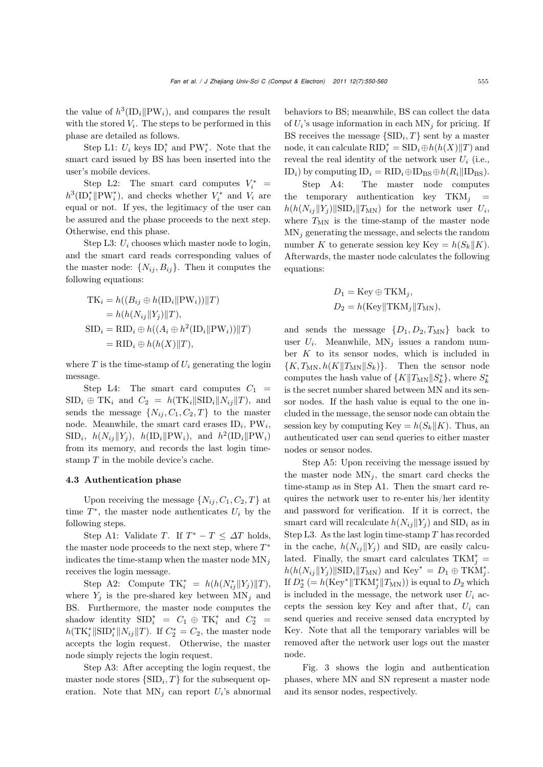the value of  $h^3(\text{ID}_i||\text{PW}_i)$ , and compares the result with the stored  $V_i$ . The steps to be performed in this phase are detailed as follows.

Step L1:  $U_i$  keys  $ID_i^*$  and  $PW_i^*$ . Note that the smart card issued by BS has been inserted into the user's mobile devices.

Step L2: The smart card computes  $V_i^*$  =  $h^3(\text{ID}_i^* \| \text{PW}_i^*),$  and checks whether  $V_i^*$  and  $V_i$  are equal or not. If yes, the legitimacy of the user can be assured and the phase proceeds to the next step. Otherwise, end this phase.

Step L3: U*<sup>i</sup>* chooses which master node to login, and the smart card reads corresponding values of the master node:  $\{N_{ij}, B_{ij}\}$ . Then it computes the following equations:

$$
TK_i = h((B_{ij} \oplus h(\text{ID}_i || \text{PW}_i)) || T)
$$
  
=  $h(h(N_{ij} || Y_j) || T),$   

$$
SID_i = RID_i \oplus h((A_i \oplus h^2(\text{ID}_i || \text{PW}_i)) || T)
$$
  
=  $RID_i \oplus h(h(X) || T),$ 

where  $T$  is the time-stamp of  $U_i$  generating the login message.

Step L4: The smart card computes  $C_1$  =  $\text{SID}_i \oplus \text{TK}_i$  and  $C_2 = h(\text{TK}_i \|\text{SID}_i\| N_{ij} \| T)$ , and sends the message  $\{N_{ij}, C_1, C_2, T\}$  to the master node. Meanwhile, the smart card erases ID*i*, PW*i*,  $\text{SID}_i$ ,  $h(N_{ij}||Y_j)$ ,  $h(\text{ID}_i||\text{PW}_i)$ , and  $h^2(\text{ID}_i||\text{PW}_i)$ from its memory, and records the last login timestamp T in the mobile device's cache.

#### 4.3 Authentication phase

Upon receiving the message  $\{N_{ij}, C_1, C_2, T\}$  at time  $T^*$ , the master node authenticates  $U_i$  by the following steps.

Step A1: Validate T. If  $T^* - T \leq \Delta T$  holds, the master node proceeds to the next step, where  $T^*$ indicates the time-stamp when the master node MN*<sup>j</sup>* receives the login message.

Step A2: Compute  $\mathrm{TK}_i^* = h(h(N_{ij}^*||Y_j)||T)$ , where  $Y_i$  is the pre-shared key between  $MN_i$  and BS. Furthermore, the master node computes the shadow identity  $\text{SID}_i^* = C_1 \oplus \text{TK}_i^*$  and  $C_2^* =$  $h(\text{TK}_i^* \| \text{SID}_i^* \| N_{ij} \| T)$ . If  $C_2^* = C_2$ , the master node accepts the login request. Otherwise, the master node simply rejects the login request.

Step A3: After accepting the login request, the master node stores  $\{\text{SID}_i, T\}$  for the subsequent operation. Note that  $MN_j$  can report  $U_i$ 's abnormal behaviors to BS; meanwhile, BS can collect the data of  $U_i$ 's usage information in each  $MN_i$  for pricing. If BS receives the message  $\{\text{SID}_i, T\}$  sent by a master node, it can calculate  $\text{RID}_i^* = \text{SID}_i \oplus h(h(X) \| T)$  and reveal the real identity of the network user  $U_i$  (i.e.,  $\text{ID}_i$ ) by computing  $\text{ID}_i = \text{RID}_i \oplus \text{ID}_{\text{BS}} \oplus h(R_i \|\text{ID}_{\text{BS}}).$ 

Step A4: The master node computes the temporary authentication key  $TKM_i =$  $h(h(N_{ij}||Y_j)||\text{SID}_i||T_{MN})$  for the network user  $U_i$ , where  $T_{MN}$  is the time-stamp of the master node MN*<sup>j</sup>* generating the message, and selects the random number K to generate session key  $Key = h(S_k || K)$ . Afterwards, the master node calculates the following equations:

$$
D_1 = \text{Key} \oplus \text{TKM}_j,
$$
  

$$
D_2 = h(\text{Key} || \text{TKM}_j || T_{\text{MN}}),
$$

and sends the message  $\{D_1, D_2, T_{MN}\}\$  back to user  $U_i$ . Meanwhile,  $MN_j$  issues a random number  $K$  to its sensor nodes, which is included in  $\{K, T_{\text{MN}}, h(K\|T_{\text{MN}}\|$ Then the sensor node computes the hash value of  $\{K \| T_{MN} \| S_k^* \}$ , where  $S_k^*$ is the secret number shared between MN and its sensor nodes. If the hash value is equal to the one included in the message, the sensor node can obtain the session key by computing  $Key = h(S_k || K)$ . Thus, an authenticated user can send queries to either master nodes or sensor nodes.

Step A5: Upon receiving the message issued by the master node  $MN_j$ , the smart card checks the time-stamp as in Step A1. Then the smart card requires the network user to re-enter his/her identity and password for verification. If it is correct, the smart card will recalculate  $h(N_{ij}||Y_j)$  and  $\text{SID}_i$  as in Step L3. As the last login time-stamp  $T$  has recorded in the cache,  $h(N_{ij}||Y_j)$  and  $\text{SID}_i$  are easily calculated. Finally, the smart card calculates  $\text{TKM}_{j}^* =$  $h(h(N_{ij}||Y_j)||\text{SID}_i||T_{\text{MN}})$  and  $\text{Key}^* = D_1 \oplus \text{TKM}_j^*$ . If  $D_2^*$  (=  $h(\text{Key*}||\text{TKM}_j^*||T_{MN})$ ) is equal to  $D_2$  which is included in the message, the network user  $U_i$  accepts the session key Key and after that, U*<sup>i</sup>* can send queries and receive sensed data encrypted by Key. Note that all the temporary variables will be removed after the network user logs out the master node.

Fig. 3 shows the login and authentication phases, where MN and SN represent a master node and its sensor nodes, respectively.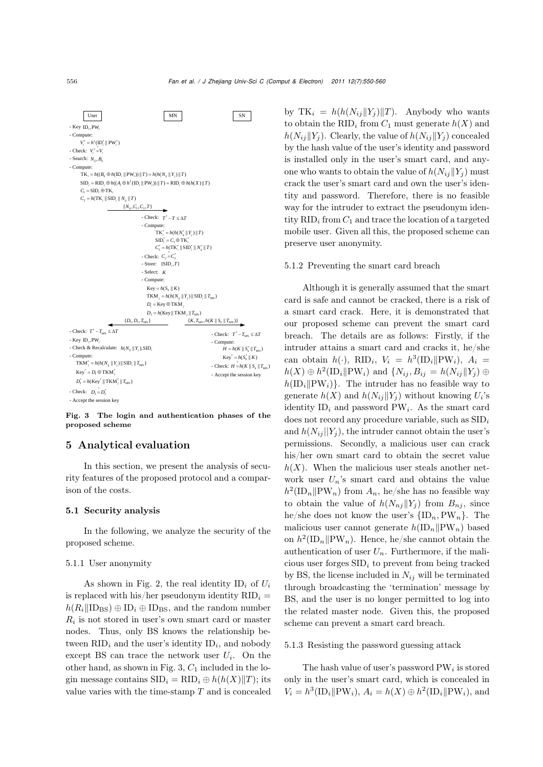| User                                                                                                                                              | MΝ                                                            | SN                                                                                         |
|---------------------------------------------------------------------------------------------------------------------------------------------------|---------------------------------------------------------------|--------------------------------------------------------------------------------------------|
| - Key ID, PW                                                                                                                                      |                                                               |                                                                                            |
| - Compute:                                                                                                                                        |                                                               |                                                                                            |
| $V_i^* = h^3 (ID_i^*    PW_i^*)$                                                                                                                  |                                                               |                                                                                            |
| - Check: $V_i^* = V_i$                                                                                                                            |                                                               |                                                                                            |
| - Search: $N_{ij}$ , $B_{ij}$                                                                                                                     |                                                               |                                                                                            |
| - Compute:                                                                                                                                        |                                                               |                                                                                            |
| $TK_i = h((B_{ii} \oplus h(\text{ID}_{i}    PW_i))    T) = h(h(N_{ii}    Y_i)    T)$                                                              |                                                               |                                                                                            |
| $\text{SID}_i = \text{RID}_i \oplus h((A_i \oplus h^2(\text{ID}_i \parallel \text{PW}_i)) \parallel T) = \text{RID}_i \oplus h(h(X) \parallel T)$ |                                                               |                                                                                            |
| $C_i = \text{SID}_i \oplus \text{TK}_i$                                                                                                           |                                                               |                                                                                            |
| $C_2 = h(TK_i    SID_i    N_{ii}    T)$                                                                                                           |                                                               |                                                                                            |
| $\{N_{ij}, C_1, C_2, T\}$                                                                                                                         |                                                               |                                                                                            |
|                                                                                                                                                   | - Check: $T^* - T \leq \Delta T$                              |                                                                                            |
| - Compute:                                                                                                                                        |                                                               |                                                                                            |
|                                                                                                                                                   | $TK_i^* = h(h(N_{ii}^*    Y_i)    T)$                         |                                                                                            |
|                                                                                                                                                   | $SID_i^* = C_1 \oplus TK_i^*$                                 |                                                                                            |
|                                                                                                                                                   | $C_2^* = h(\text{TK}_i^* \ \text{SID}_i^* \   N_{ij}^* \  T)$ |                                                                                            |
| - Check: $C_2 = C_2^*$                                                                                                                            |                                                               |                                                                                            |
|                                                                                                                                                   | - Store: $\{SID_i, T\}$                                       |                                                                                            |
| - Select: $K$                                                                                                                                     |                                                               |                                                                                            |
| - Compute:                                                                                                                                        |                                                               |                                                                                            |
|                                                                                                                                                   | $Key = h(Sk    K)$                                            |                                                                                            |
|                                                                                                                                                   | $TKM_i = h(h(N_{ii}    Y_i)    SID_i    T_{MN})$              |                                                                                            |
|                                                                                                                                                   | $D_1 = \text{Key} \oplus \text{TKM}$                          |                                                                                            |
|                                                                                                                                                   | $D_2 = h(\text{Key}    \text{TKM}      T_{MN})$               |                                                                                            |
| $\{D_{\!\scriptscriptstyle 1},D_{\!\scriptscriptstyle 2},T_{\scriptscriptstyle \rm MN}\}$                                                         |                                                               | $\{K, T_{\textsc{MN}}, h(K \mid\mid S_{\scriptscriptstyle{k}} \mid\mid T_{\textsc{MN}})\}$ |
| - Check: $T^* - T_{MN} \leq \Delta T$                                                                                                             |                                                               | - Check: $T^* - T_{\text{max}} \leq \Delta T$                                              |
| - Key ID, PW.                                                                                                                                     |                                                               | - Compute:                                                                                 |
| - Check & Recalculate: $h(N_{ii}    Y_i)$ , SID,                                                                                                  |                                                               | $H = h(K    S_{k}^{*}    T_{MN})$                                                          |
| - Compute:                                                                                                                                        |                                                               | $Key^* = h(S_k^*    K)$                                                                    |
| $TKM^*_{i} = h(h(N_{ii}    Y_{i})    SID_{i}    T_{MN})$                                                                                          |                                                               | - Check: $H = h(K    Sk    TMN)$                                                           |
| $Key^* = D_1 \oplus TKM^*$                                                                                                                        |                                                               | - Accept the session key                                                                   |
| $D_{2}^{*} = h(Key^{*}    TKM^{*}    T_{MN})$                                                                                                     |                                                               |                                                                                            |
| - Check: $D_2 = D_2^*$                                                                                                                            |                                                               |                                                                                            |
| - Accept the session key                                                                                                                          |                                                               |                                                                                            |
|                                                                                                                                                   |                                                               |                                                                                            |

Fig. 3 The login and authentication phases of the proposed scheme

# 5 Analytical evaluation

In this section, we present the analysis of security features of the proposed protocol and a comparison of the costs.

#### 5.1 Security analysis

In the following, we analyze the security of the proposed scheme.

## 5.1.1 User anonymity

As shown in Fig. 2, the real identity  $ID_i$  of  $U_i$ is replaced with his/her pseudonym identity  $RID_i$  =  $h(R_i \parallel \text{ID}_{BS}) \oplus \text{ID}_i \oplus \text{ID}_{BS}$ , and the random number  $R_i$  is not stored in user's own smart card or master nodes. Thus, only BS knows the relationship between  $\text{RID}_i$  and the user's identity  $ID_i$ , and nobody except BS can trace the network user  $U_i$ . On the other hand, as shown in Fig. 3,  $C_1$  included in the login message contains  $\text{SID}_i = \text{RID}_i \oplus h(h(X) \| T)$ ; its value varies with the time-stamp  $T$  and is concealed

by  $TK_i = h(h(N_{ij}||Y_j)||T)$ . Anybody who wants to obtain the RID<sub>i</sub> from  $C_1$  must generate  $h(X)$  and  $h(N_{ij}||Y_j)$ . Clearly, the value of  $h(N_{ij}||Y_j)$  concealed by the hash value of the user's identity and password is installed only in the user's smart card, and anyone who wants to obtain the value of  $h(N_{ij}||Y_j)$  must crack the user's smart card and own the user's identity and password. Therefore, there is no feasible way for the intruder to extract the pseudonym identity  $RID_i$  from  $C_1$  and trace the location of a targeted mobile user. Given all this, the proposed scheme can preserve user anonymity.

## 5.1.2 Preventing the smart card breach

Although it is generally assumed that the smart card is safe and cannot be cracked, there is a risk of a smart card crack. Here, it is demonstrated that our proposed scheme can prevent the smart card breach. The details are as follows: Firstly, if the intruder attains a smart card and cracks it, he/she can obtain  $h(\cdot)$ , RID<sub>*i*</sub>,  $V_i = h^3(\text{ID}_i||\text{PW}_i)$ ,  $A_i =$  $h(X) \oplus h^2(\text{ID}_i \| \text{PW}_i)$  and  $\{N_{ij}, B_{ij} = h(N_{ij} \| Y_j) \oplus$  $h(\mathrm{ID}_i \| \mathrm{PW}_i)$ . The intruder has no feasible way to generate  $h(X)$  and  $h(N_{ij}||Y_j)$  without knowing  $U_i$ 's identity  $ID_i$  and password  $PW_i$ . As the smart card does not record any procedure variable, such as SID*<sup>i</sup>* and  $h(N_{ij}||Y_j)$ , the intruder cannot obtain the user's permissions. Secondly, a malicious user can crack his/her own smart card to obtain the secret value  $h(X)$ . When the malicious user steals another network user  $U_n$ 's smart card and obtains the value  $h^2(\mathbf{ID}_n||\mathbf{PW}_n)$  from  $A_n$ , he/she has no feasible way to obtain the value of  $h(N_{nj}||Y_j)$  from  $B_{nj}$ , since he/she does not know the user's  ${ID_n, PW_n}$ . The malicious user cannot generate  $h(\mathbf{ID}_n||\mathbf{PW}_n)$  based on  $h^2(\mathbf{ID}_n||\mathbf{PW}_n)$ . Hence, he/she cannot obtain the authentication of user  $U_n$ . Furthermore, if the malicious user forges SID*<sup>i</sup>* to prevent from being tracked by BS, the license included in  $N_{ij}$  will be terminated through broadcasting the 'termination' message by BS, and the user is no longer permitted to log into the related master node. Given this, the proposed scheme can prevent a smart card breach.

#### 5.1.3 Resisting the password guessing attack

The hash value of user's password PW*<sup>i</sup>* is stored only in the user's smart card, which is concealed in  $V_i = h^3(\text{ID}_i \| \text{PW}_i), A_i = h(X) \oplus h^2(\text{ID}_i \| \text{PW}_i), \text{and}$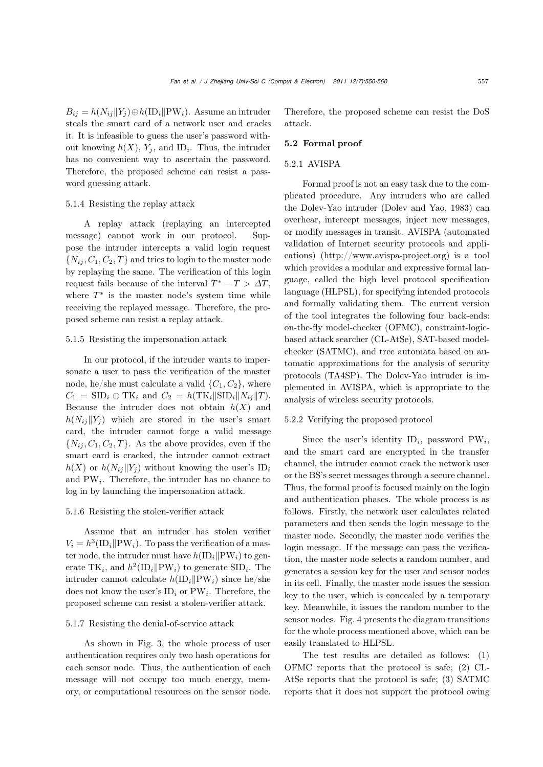$B_{ij} = h(N_{ij} || Y_j) \oplus h(\mathrm{ID}_i || \mathrm{PW}_i)$ . Assume an intruder steals the smart card of a network user and cracks it. It is infeasible to guess the user's password without knowing  $h(X)$ ,  $Y_j$ , and ID<sub>i</sub>. Thus, the intruder has no convenient way to ascertain the password. Therefore, the proposed scheme can resist a password guessing attack.

#### 5.1.4 Resisting the replay attack

A replay attack (replaying an intercepted message) cannot work in our protocol. Suppose the intruder intercepts a valid login request  $\{N_{ij}, C_1, C_2, T\}$  and tries to login to the master node by replaying the same. The verification of this login request fails because of the interval  $T^* - T > \Delta T$ , where  $T^*$  is the master node's system time while receiving the replayed message. Therefore, the proposed scheme can resist a replay attack.

#### 5.1.5 Resisting the impersonation attack

In our protocol, if the intruder wants to impersonate a user to pass the verification of the master node, he/she must calculate a valid  $\{C_1, C_2\}$ , where  $C_1 = \text{SID}_i \oplus \text{TK}_i$  and  $C_2 = h(\text{TK}_i \|\text{SID}_i \| N_{ij} \| T).$ Because the intruder does not obtain  $h(X)$  and  $h(N_{ij}||Y_j)$  which are stored in the user's smart card, the intruder cannot forge a valid message  $\{N_{ij}, C_1, C_2, T\}$ . As the above provides, even if the smart card is cracked, the intruder cannot extract  $h(X)$  or  $h(N_{ij}||Y_j)$  without knowing the user's ID<sub>i</sub> and PW*i*. Therefore, the intruder has no chance to log in by launching the impersonation attack.

## 5.1.6 Resisting the stolen-verifier attack

Assume that an intruder has stolen verifier  $V_i = h^3(\text{ID}_i||\text{PW}_i)$ . To pass the verification of a master node, the intruder must have  $h(\mathrm{ID}_i||\mathrm{PW}_i)$  to generate  $TK_i$ , and  $h^2($   $\text{ID}_i \parallel$   $\text{PW}_i$   $)$  to generate  $\text{SID}_i$ . The intruder cannot calculate  $h(\mathrm{ID}_i \|\mathrm{PW}_i)$  since he/she does not know the user's ID*<sup>i</sup>* or PW*i*. Therefore, the proposed scheme can resist a stolen-verifier attack.

## 5.1.7 Resisting the denial-of-service attack

As shown in Fig. 3, the whole process of user authentication requires only two hash operations for each sensor node. Thus, the authentication of each message will not occupy too much energy, memory, or computational resources on the sensor node.

Therefore, the proposed scheme can resist the DoS attack.

## 5.2 Formal proof

## 5.2.1 AVISPA

Formal proof is not an easy task due to the complicated procedure. Any intruders who are called the Dolev-Yao intruder (Dolev and Yao, 1983) can overhear, intercept messages, inject new messages, or modify messages in transit. AVISPA (automated validation of Internet security protocols and applications) (http://www.avispa-project.org) is a tool which provides a modular and expressive formal language, called the high level protocol specification language (HLPSL), for specifying intended protocols and formally validating them. The current version of the tool integrates the following four back-ends: on-the-fly model-checker (OFMC), constraint-logicbased attack searcher (CL-AtSe), SAT-based modelchecker (SATMC), and tree automata based on automatic approximations for the analysis of security protocols (TA4SP). The Dolev-Yao intruder is implemented in AVISPA, which is appropriate to the analysis of wireless security protocols.

#### 5.2.2 Verifying the proposed protocol

Since the user's identity ID*i*, password PW*i*, and the smart card are encrypted in the transfer channel, the intruder cannot crack the network user or the BS's secret messages through a secure channel. Thus, the formal proof is focused mainly on the login and authentication phases. The whole process is as follows. Firstly, the network user calculates related parameters and then sends the login message to the master node. Secondly, the master node verifies the login message. If the message can pass the verification, the master node selects a random number, and generates a session key for the user and sensor nodes in its cell. Finally, the master node issues the session key to the user, which is concealed by a temporary key. Meanwhile, it issues the random number to the sensor nodes. Fig. 4 presents the diagram transitions for the whole process mentioned above, which can be easily translated to HLPSL.

The test results are detailed as follows: (1) OFMC reports that the protocol is safe; (2) CL-AtSe reports that the protocol is safe; (3) SATMC reports that it does not support the protocol owing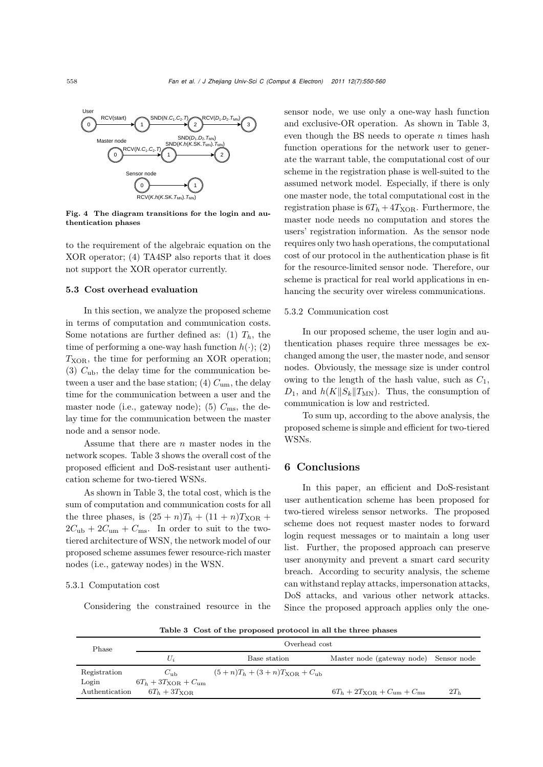

Fig. 4 The diagram transitions for the login and authentication phases

to the requirement of the algebraic equation on the XOR operator; (4) TA4SP also reports that it does not support the XOR operator currently.

## 5.3 Cost overhead evaluation

In this section, we analyze the proposed scheme in terms of computation and communication costs. Some notations are further defined as: (1) T*h*, the time of performing a one-way hash function  $h(\cdot); (2)$  $T_{XOR}$ , the time for performing an XOR operation; (3)  $C_{\rm ub}$ , the delay time for the communication between a user and the base station; (4)  $C_{um}$ , the delay time for the communication between a user and the master node (i.e., gateway node); (5)  $C_{\text{ms}}$ , the delay time for the communication between the master node and a sensor node.

Assume that there are  $n$  master nodes in the network scopes. Table 3 shows the overall cost of the proposed efficient and DoS-resistant user authentication scheme for two-tiered WSNs.

As shown in Table 3, the total cost, which is the sum of computation and communication costs for all the three phases, is  $(25 + n)T_h + (11 + n)T_{XOR}$  +  $2C_{\rm ub} + 2C_{\rm um} + C_{\rm ms}$ . In order to suit to the twotiered architecture of WSN, the network model of our proposed scheme assumes fewer resource-rich master nodes (i.e., gateway nodes) in the WSN.

#### 5.3.1 Computation cost

Considering the constrained resource in the

sensor node, we use only a one-way hash function and exclusive-OR operation. As shown in Table 3, even though the BS needs to operate  $n$  times hash function operations for the network user to generate the warrant table, the computational cost of our scheme in the registration phase is well-suited to the assumed network model. Especially, if there is only one master node, the total computational cost in the registration phase is  $6T_h + 4T_{XOR}$ . Furthermore, the master node needs no computation and stores the users' registration information. As the sensor node requires only two hash operations, the computational cost of our protocol in the authentication phase is fit for the resource-limited sensor node. Therefore, our scheme is practical for real world applications in enhancing the security over wireless communications.

#### 5.3.2 Communication cost

In our proposed scheme, the user login and authentication phases require three messages be exchanged among the user, the master node, and sensor nodes. Obviously, the message size is under control owing to the length of the hash value, such as  $C_1$ ,  $D_1$ , and  $h(K||S_k||T_{MN})$ . Thus, the consumption of communication is low and restricted.

To sum up, according to the above analysis, the proposed scheme is simple and efficient for two-tiered WSNs.

## 6 Conclusions

In this paper, an efficient and DoS-resistant user authentication scheme has been proposed for two-tiered wireless sensor networks. The proposed scheme does not request master nodes to forward login request messages or to maintain a long user list. Further, the proposed approach can preserve user anonymity and prevent a smart card security breach. According to security analysis, the scheme can withstand replay attacks, impersonation attacks, DoS attacks, and various other network attacks. Since the proposed approach applies only the one-

Table 3 Cost of the proposed protocol in all the three phases

| Phase                 | Overhead cost                              |                                                  |                                        |        |  |
|-----------------------|--------------------------------------------|--------------------------------------------------|----------------------------------------|--------|--|
|                       | $U_i$                                      | Base station                                     | Master node (gateway node) Sensor node |        |  |
| Registration<br>Login | $C_{\rm ub}$<br>$6T_h + 3T_{XOB} + C_{um}$ | $(5+n)T_h + (3+n)T_{\text{XOR}} + C_{\text{ub}}$ |                                        |        |  |
| Authentication        | $6T_h + 3T_{XOR}$                          |                                                  | $6T_h + 2T_{XOR} + C_{um} + C_{ms}$    | $2T_h$ |  |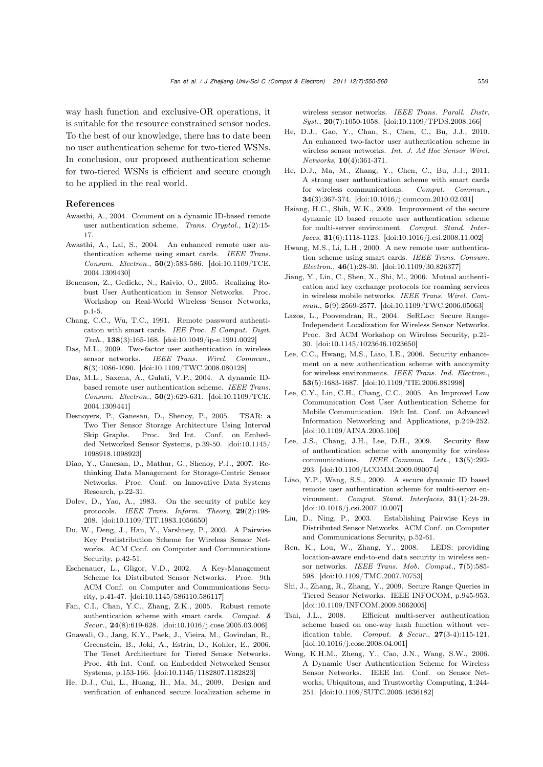way hash function and exclusive-OR operations, it is suitable for the resource constrained sensor nodes. To the best of our knowledge, there has to date been no user authentication scheme for two-tiered WSNs. In conclusion, our proposed authentication scheme for two-tiered WSNs is efficient and secure enough to be applied in the real world.

#### References

- Awasthi, A., 2004. Comment on a dynamic ID-based remote user authentication scheme. *Trans. Cryptol.*, 1(2):15- 17.
- Awasthi, A., Lal, S., 2004. An enhanced remote user authentication scheme using smart cards. *IEEE Trans. Consum. Electron.*, 50(2):583-586. [doi:10.1109/TCE. 2004.1309430]
- Benenson, Z., Gedicke, N., Raivio, O., 2005. Realizing Robust User Authentication in Sensor Networks. Proc. Workshop on Real-World Wireless Sensor Networks, p.1-5.
- Chang, C.C., Wu, T.C., 1991. Remote password authentication with smart cards. *IEE Proc. E Comput. Digit. Tech.*, 138(3):165-168. [doi:10.1049/ip-e.1991.0022]
- Das, M.L., 2009. Two-factor user authentication in wireless sensor networks. *IEEE Trans. Wirel. Commun.*, 8(3):1086-1090. [doi:10.1109/TWC.2008.080128]
- Das, M.L., Saxena, A., Gulati, V.P., 2004. A dynamic IDbased remote user authentication scheme. *IEEE Trans. Consum. Electron.*, 50(2):629-631. [doi:10.1109/TCE. 2004.1309441]
- Desnoyers, P., Ganesan, D., Shenoy, P., 2005. TSAR: a Two Tier Sensor Storage Architecture Using Interval Skip Graphs. Proc. 3rd Int. Conf. on Embedded Networked Sensor Systems, p.39-50. [doi:10.1145/ 1098918.1098923]
- Diao, Y., Ganesan, D., Mathur, G., Shenoy, P.J., 2007. Rethinking Data Management for Storage-Centric Sensor Networks. Proc. Conf. on Innovative Data Systems Research, p.22-31.
- Dolev, D., Yao, A., 1983. On the security of public key protocols. *IEEE Trans. Inform. Theory*, 29(2):198- 208. [doi:10.1109/TIT.1983.1056650]
- Du, W., Deng, J., Han, Y., Varshney, P., 2003. A Pairwise Key Predistribution Scheme for Wireless Sensor Networks. ACM Conf. on Computer and Communications Security, p.42-51.
- Eschenauer, L., Gligor, V.D., 2002. A Key-Management Scheme for Distributed Sensor Networks. Proc. 9th ACM Conf. on Computer and Communications Security, p.41-47. [doi:10.1145/586110.586117]
- Fan, C.I., Chan, Y.C., Zhang, Z.K., 2005. Robust remote authentication scheme with smart cards. *Comput. & Secur.*, 24(8):619-628. [doi:10.1016/j.cose.2005.03.006]
- Gnawali, O., Jang, K.Y., Paek, J., Vieira, M., Govindan, R., Greenstein, B., Joki, A., Estrin, D., Kohler, E., 2006. The Tenet Architecture for Tiered Sensor Networks. Proc. 4th Int. Conf. on Embedded Networked Sensor Systems, p.153-166. [doi:10.1145/1182807.1182823]
- He, D.J., Cui, L., Huang, H., Ma, M., 2009. Design and verification of enhanced secure localization scheme in

wireless sensor networks. *IEEE Trans. Parall. Distr. Syst.*, 20(7):1050-1058. [doi:10.1109/TPDS.2008.166]

- He, D.J., Gao, Y., Chan, S., Chen, C., Bu, J.J., 2010. An enhanced two-factor user authentication scheme in wireless sensor networks. *Int. J. Ad Hoc Sensor Wirel. Networks*, 10(4):361-371.
- He, D.J., Ma, M., Zhang, Y., Chen, C., Bu, J.J., 2011. A strong user authentication scheme with smart cards for wireless communications. *Comput. Commun.*, 34(3):367-374. [doi:10.1016/j.comcom.2010.02.031]
- Hsiang, H.C., Shih, W.K., 2009. Improvement of the secure dynamic ID based remote user authentication scheme for multi-server environment. *Comput. Stand. Interfaces*, 31(6):1118-1123. [doi:10.1016/j.csi.2008.11.002]
- Hwang, M.S., Li, L.H., 2000. A new remote user authentication scheme using smart cards. *IEEE Trans. Consum. Electron.*, 46(1):28-30. [doi:10.1109/30.826377]
- Jiang, Y., Lin, C., Shen, X., Shi, M., 2006. Mutual authentication and key exchange protocols for roaming services in wireless mobile networks. *IEEE Trans. Wirel. Commun.*, 5(9):2569-2577. [doi:10.1109/TWC.2006.05063]
- Lazos, L., Poovendran, R., 2004. SeRLoc: Secure Range-Independent Localization for Wireless Sensor Networks. Proc. 3rd ACM Workshop on Wireless Security, p.21- 30. [doi:10.1145/1023646.1023650]
- Lee, C.C., Hwang, M.S., Liao, I.E., 2006. Security enhancement on a new authentication scheme with anonymity for wireless environments. *IEEE Trans. Ind. Electron.*, 53(5):1683-1687. [doi:10.1109/TIE.2006.881998]
- Lee, C.Y., Lin, C.H., Chang, C.C., 2005. An Improved Low Communication Cost User Authentication Scheme for Mobile Communication. 19th Int. Conf. on Advanced Information Networking and Applications, p.249-252. [doi:10.1109/AINA.2005.106]
- Lee, J.S., Chang, J.H., Lee, D.H., 2009. Security flaw of authentication scheme with anonymity for wireless communications. *IEEE Commun. Lett.*, 13(5):292- 293. [doi:10.1109/LCOMM.2009.090074]
- Liao, Y.P., Wang, S.S., 2009. A secure dynamic ID based remote user authentication scheme for multi-server environment. *Comput. Stand. Interfaces*, 31(1):24-29. [doi:10.1016/j.csi.2007.10.007]
- Liu, D., Ning, P., 2003. Establishing Pairwise Keys in Distributed Sensor Networks. ACM Conf. on Computer and Communications Security, p.52-61.
- Ren, K., Lou, W., Zhang, Y., 2008. LEDS: providing location-aware end-to-end data security in wireless sensor networks. *IEEE Trans. Mob. Comput.*, 7(5):585- 598. [doi:10.1109/TMC.2007.70753]
- Shi, J., Zhang, R., Zhang, Y., 2009. Secure Range Queries in Tiered Sensor Networks. IEEE INFOCOM, p.945-953. [doi:10.1109/INFCOM.2009.5062005]
- Tsai, J.L., 2008. Efficient multi-server authentication scheme based on one-way hash function without verification table. *Comput. & Secur.*, <sup>27</sup>(3-4):115-121. [doi:10.1016/j.cose.2008.04.001]
- Wong, K.H.M., Zheng, Y., Cao, J.N., Wang, S.W., 2006. A Dynamic User Authentication Scheme for Wireless Sensor Networks. IEEE Int. Conf. on Sensor Networks, Ubiquitous, and Trustworthy Computing, 1:244- 251. [doi:10.1109/SUTC.2006.1636182]